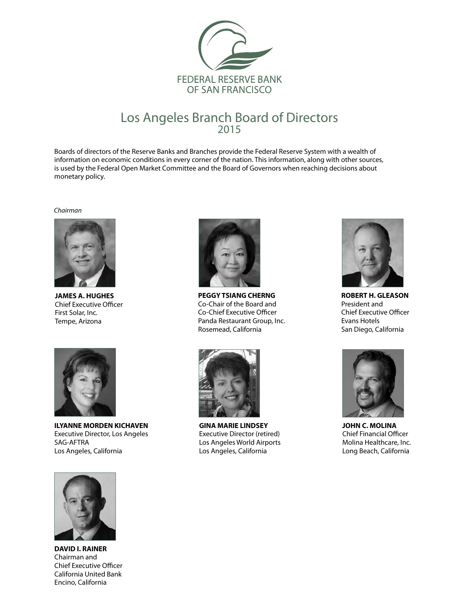

#### Los Angeles Branch Board of Directors 2015

Boards of directors of the Reserve Banks and Branches provide the Federal Reserve System with a wealth of information on economic conditions in every corner of the nation. This information, along with other sources, is used by the Federal Open Market Committee and the Board of Governors when reaching decisions about monetary policy.

*Chairman*



**JAMES A. HUGHES** Chief Executive Officer First Solar, Inc. Tempe, Arizona



**ILYANNE MORDEN KICHAVEN** Executive Director, Los Angeles SAG-AFTRA Los Angeles, California



**PEGGY TSIANG CHERNG**  Co-Chair of the Board and Co-Chief Executive Officer Panda Restaurant Group, Inc. Rosemead, California



**GINA MARIE LINDSEY** Executive Director (retired) Los Angeles World Airports Los Angeles, California



**ROBERT H. GLEASON** President and Chief Executive Officer Evans Hotels San Diego, California



**JOHN C. MOLINA** Chief Financial Officer Molina Healthcare, Inc. Long Beach, California



**DAVID I. RAINER** Chairman and Chief Executive Officer California United Bank Encino, California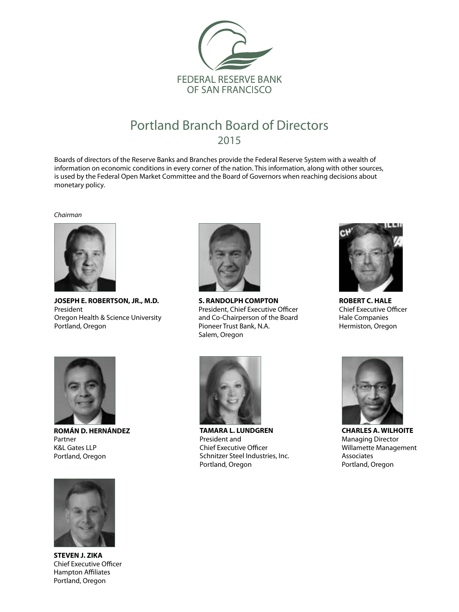

## Portland Branch Board of Directors 2015

Boards of directors of the Reserve Banks and Branches provide the Federal Reserve System with a wealth of information on economic conditions in every corner of the nation. This information, along with other sources, is used by the Federal Open Market Committee and the Board of Governors when reaching decisions about monetary policy.

*Chairman*



**JOSEPH E. ROBERTSON, JR., M.D.** President Oregon Health & Science University Portland, Oregon



**S. RANDOLPH COMPTON** President, Chief Executive Officer and Co-Chairperson of the Board Pioneer Trust Bank, N.A. Salem, Oregon



**ROBERT C. HALE** Chief Executive Officer Hale Companies Hermiston, Oregon



**ROMÁN D. HERNÁNDEZ** Partner K&L Gates LLP Portland, Oregon



**TAMARA L. LUNDGREN** President and Chief Executive Officer Schnitzer Steel Industries, Inc. Portland, Oregon



**CHARLES A. WILHOITE** Managing Director Willamette Management Associates Portland, Oregon



**STEVEN J. ZIKA** Chief Executive Officer Hampton Affiliates Portland, Oregon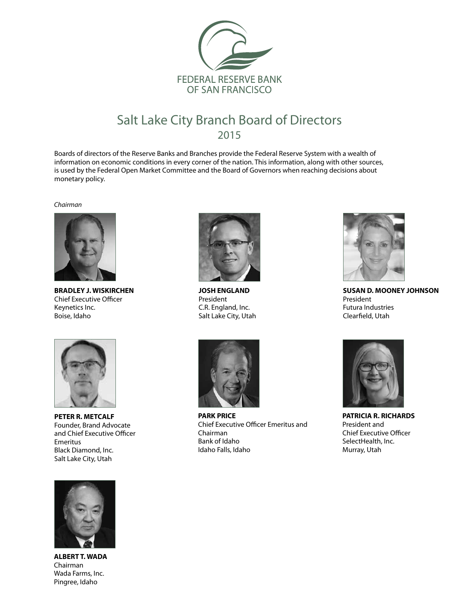

## Salt Lake City Branch Board of Directors 2015

Boards of directors of the Reserve Banks and Branches provide the Federal Reserve System with a wealth of information on economic conditions in every corner of the nation. This information, along with other sources, is used by the Federal Open Market Committee and the Board of Governors when reaching decisions about monetary policy.

*Chairman*



**BRADLEY J. WISKIRCHEN**  Chief Executive Officer Keynetics Inc. Boise, Idaho



**JOSH ENGLAND** President C.R. England, Inc. Salt Lake City, Utah



**SUSAN D. MOONEY JOHNSON**  President Futura Industries Clearfield, Utah



**PETER R. METCALF** Founder, Brand Advocate and Chief Executive Officer Emeritus Black Diamond, Inc. Salt Lake City, Utah



**ALBERT T. WADA** Chairman Wada Farms, Inc. Pingree, Idaho



**PARK PRICE** Chief Executive Officer Emeritus and Chairman Bank of Idaho Idaho Falls, Idaho



**PATRICIA R. RICHARDS** President and Chief Executive Officer SelectHealth, Inc. Murray, Utah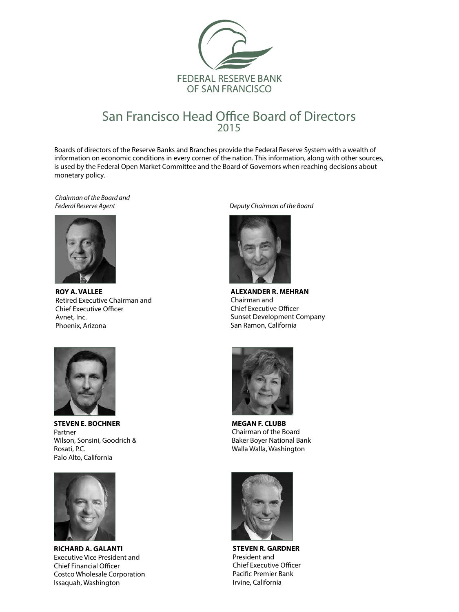

#### San Francisco Head Office Board of Directors 2015

Boards of directors of the Reserve Banks and Branches provide the Federal Reserve System with a wealth of information on economic conditions in every corner of the nation. This information, along with other sources, is used by the Federal Open Market Committee and the Board of Governors when reaching decisions about monetary policy.

*Chairman of the Board and Federal Reserve Agent Deputy Chairman of the Board*



**ROY A. VALLEE** Retired Executive Chairman and Chief Executive Officer Avnet, Inc. Phoenix, Arizona





**ALEXANDER R. MEHRAN** Chairman and Chief Executive Officer Sunset Development Company San Ramon, California



**STEVEN E. BOCHNER** Partner Wilson, Sonsini, Goodrich & Rosati, P.C. Palo Alto, California



**RICHARD A. GALANTI**  Executive Vice President and Chief Financial Officer Costco Wholesale Corporation Issaquah, Washington



**MEGAN F. CLUBB**  Chairman of the Board Baker Boyer National Bank Walla Walla, Washington



**STEVEN R. GARDNER** President and Chief Executive Officer Pacific Premier Bank Irvine, California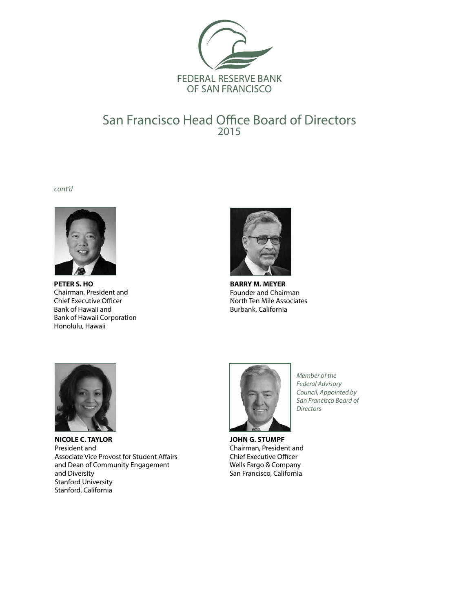

### San Francisco Head Office Board of Directors 2015

*cont'd*



**PETER S. HO** Chairman, President and Chief Executive Officer Bank of Hawaii and Bank of Hawaii Corporation Honolulu, Hawaii



**BARRY M. MEYER** Founder and Chairman North Ten Mile Associates Burbank, California



**NICOLE C. TAYLOR** President and Associate Vice Provost for Student Affairs and Dean of Community Engagement and Diversity Stanford University Stanford, California



*Member of the Federal Advisory Council, Appointed by San Francisco Board of Directors*

**JOHN G. STUMPF** Chairman, President and Chief Executive Officer Wells Fargo & Company San Francisco, California